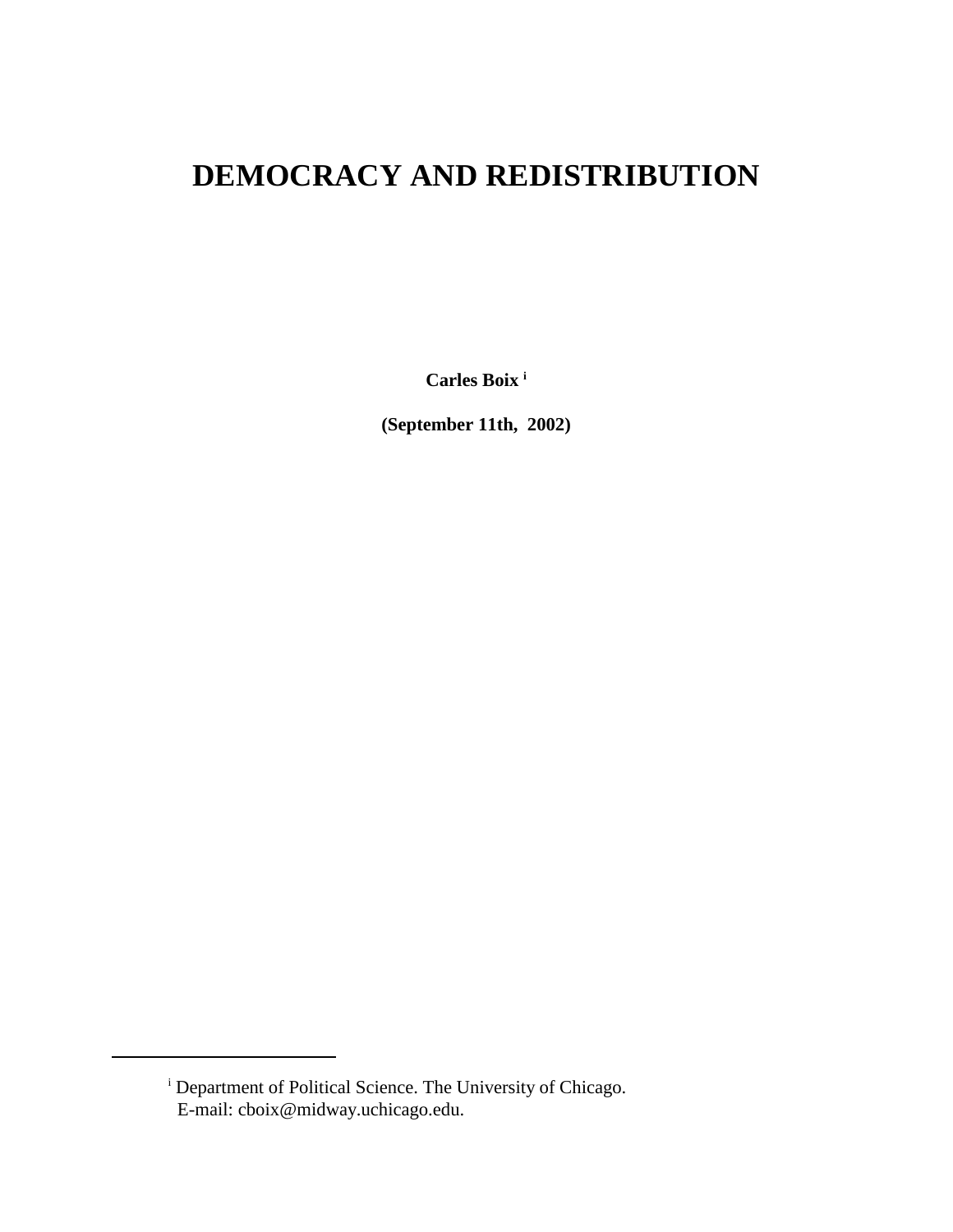# **DEMOCRACY AND REDISTRIBUTION**

**Carles Boix i**

**(September 11th, 2002)**

<sup>&</sup>lt;sup>i</sup> Department of Political Science. The University of Chicago. E-mail: cboix@midway.uchicago.edu.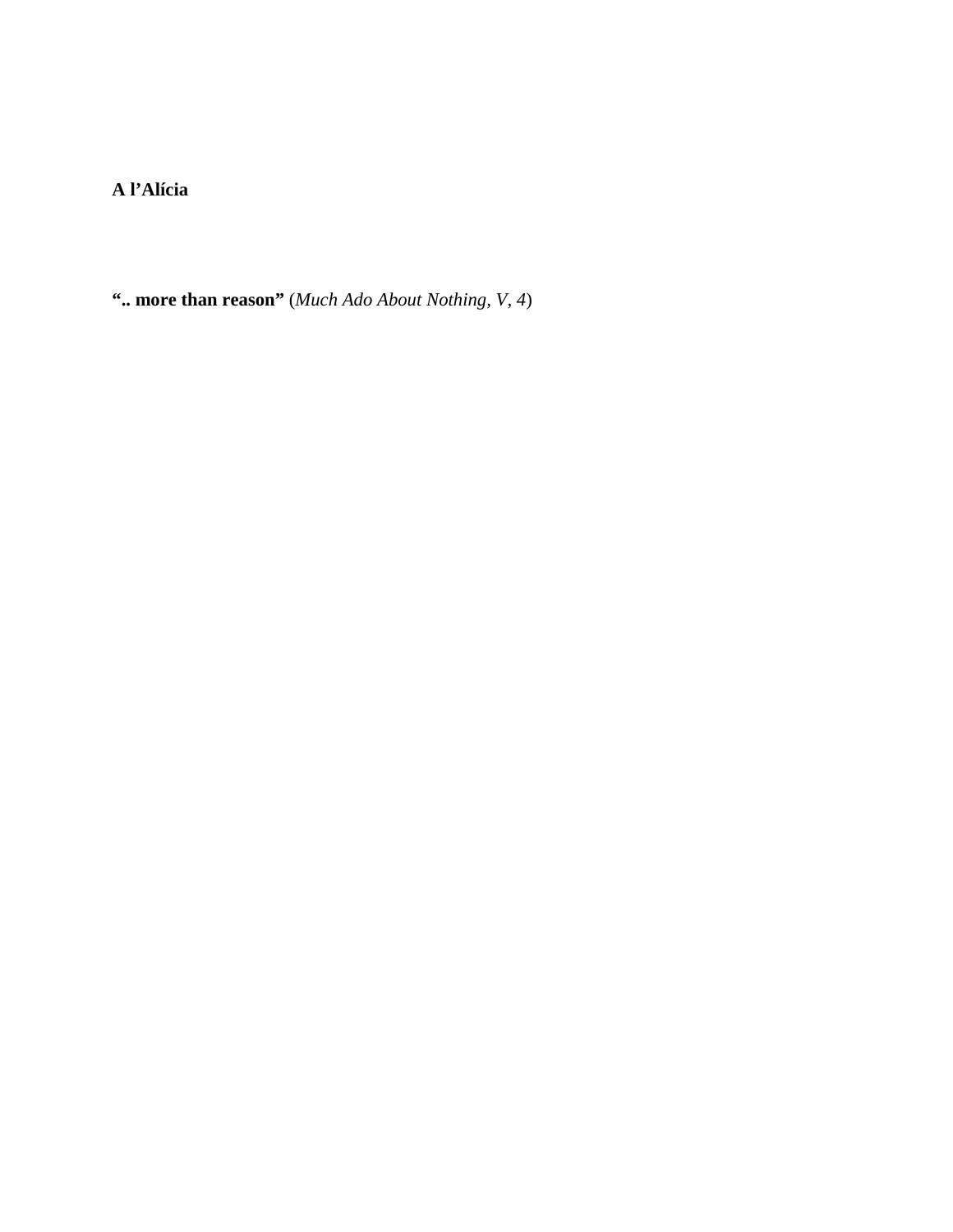**A l'Alícia**

**".. more than reason"** (*Much Ado About Nothing, V, 4*)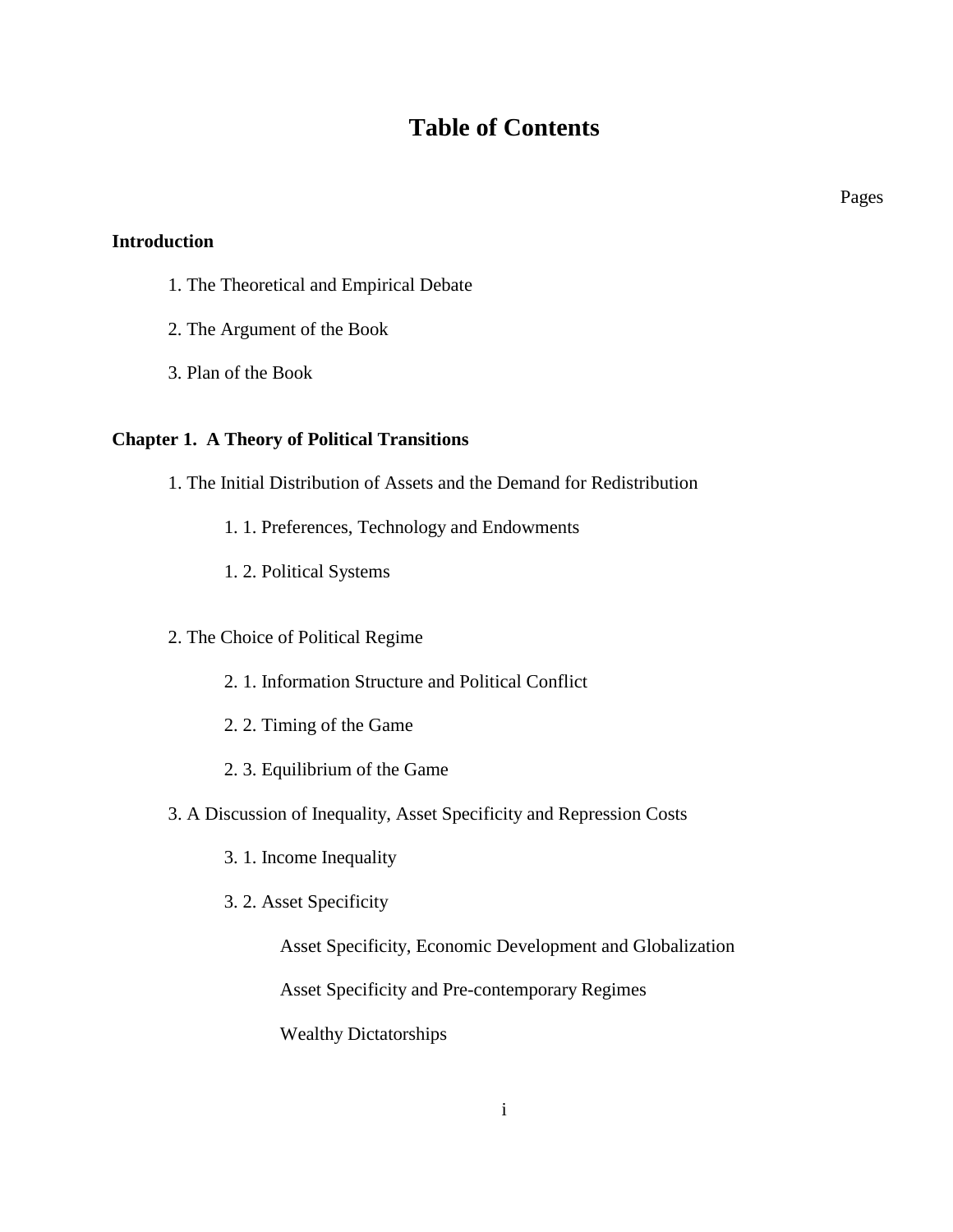## **Table of Contents**

**Introduction**

- 1. The Theoretical and Empirical Debate
- 2. The Argument of the Book
- 3. Plan of the Book

### **Chapter 1. A Theory of Political Transitions**

- 1. The Initial Distribution of Assets and the Demand for Redistribution
	- 1. 1. Preferences, Technology and Endowments
	- 1. 2. Political Systems

## 2. The Choice of Political Regime

- 2. 1. Information Structure and Political Conflict
- 2. 2. Timing of the Game
- 2. 3. Equilibrium of the Game
- 3. A Discussion of Inequality, Asset Specificity and Repression Costs
	- 3. 1. Income Inequality
	- 3. 2. Asset Specificity

Asset Specificity, Economic Development and Globalization

Asset Specificity and Pre-contemporary Regimes

Wealthy Dictatorships

Pages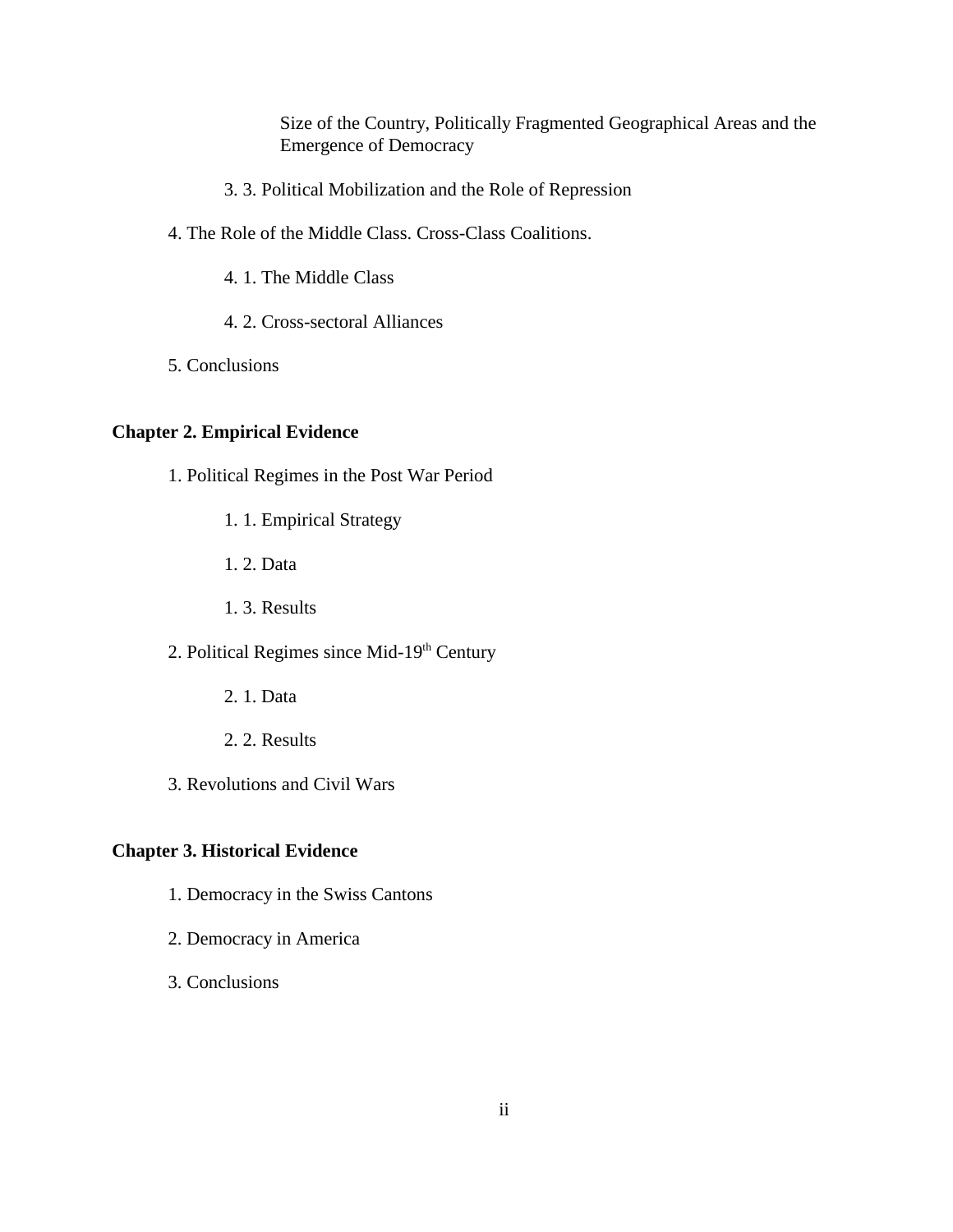Size of the Country, Politically Fragmented Geographical Areas and the Emergence of Democracy

- 3. 3. Political Mobilization and the Role of Repression
- 4. The Role of the Middle Class. Cross-Class Coalitions.
	- 4. 1. The Middle Class
	- 4. 2. Cross-sectoral Alliances
- 5. Conclusions

## **Chapter 2. Empirical Evidence**

- 1. Political Regimes in the Post War Period
	- 1. 1. Empirical Strategy
	- 1. 2. Data
	- 1. 3. Results
- 2. Political Regimes since Mid-19<sup>th</sup> Century
	- 2. 1. Data
	- 2. 2. Results
- 3. Revolutions and Civil Wars

## **Chapter 3. Historical Evidence**

- 1. Democracy in the Swiss Cantons
- 2. Democracy in America
- 3. Conclusions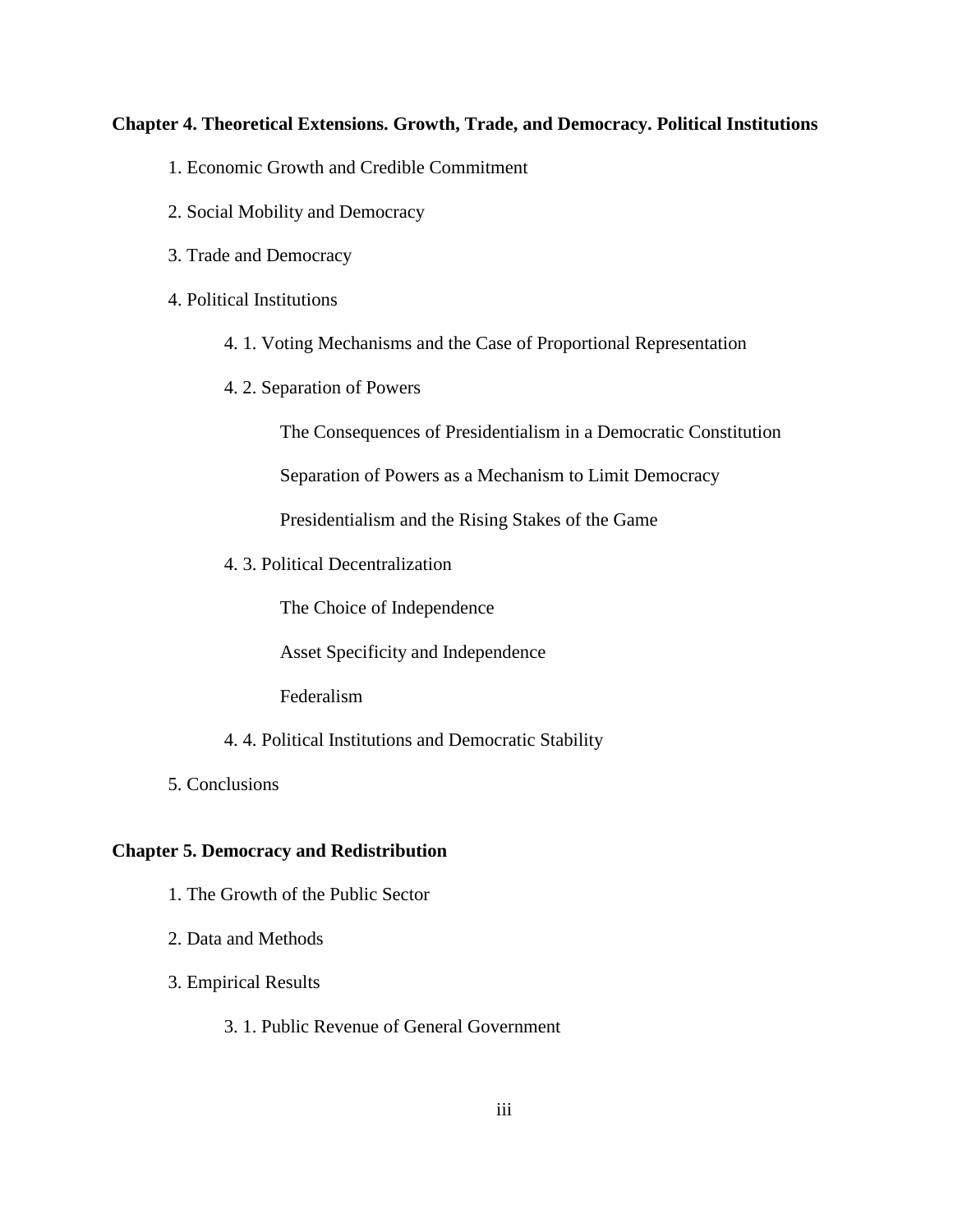#### **Chapter 4. Theoretical Extensions. Growth, Trade, and Democracy. Political Institutions**

- 1. Economic Growth and Credible Commitment
- 2. Social Mobility and Democracy
- 3. Trade and Democracy
- 4. Political Institutions
	- 4. 1. Voting Mechanisms and the Case of Proportional Representation
	- 4. 2. Separation of Powers

The Consequences of Presidentialism in a Democratic Constitution

Separation of Powers as a Mechanism to Limit Democracy

Presidentialism and the Rising Stakes of the Game

4. 3. Political Decentralization

The Choice of Independence

Asset Specificity and Independence

Federalism

- 4. 4. Political Institutions and Democratic Stability
- 5. Conclusions

#### **Chapter 5. Democracy and Redistribution**

- 1. The Growth of the Public Sector
- 2. Data and Methods
- 3. Empirical Results
	- 3. 1. Public Revenue of General Government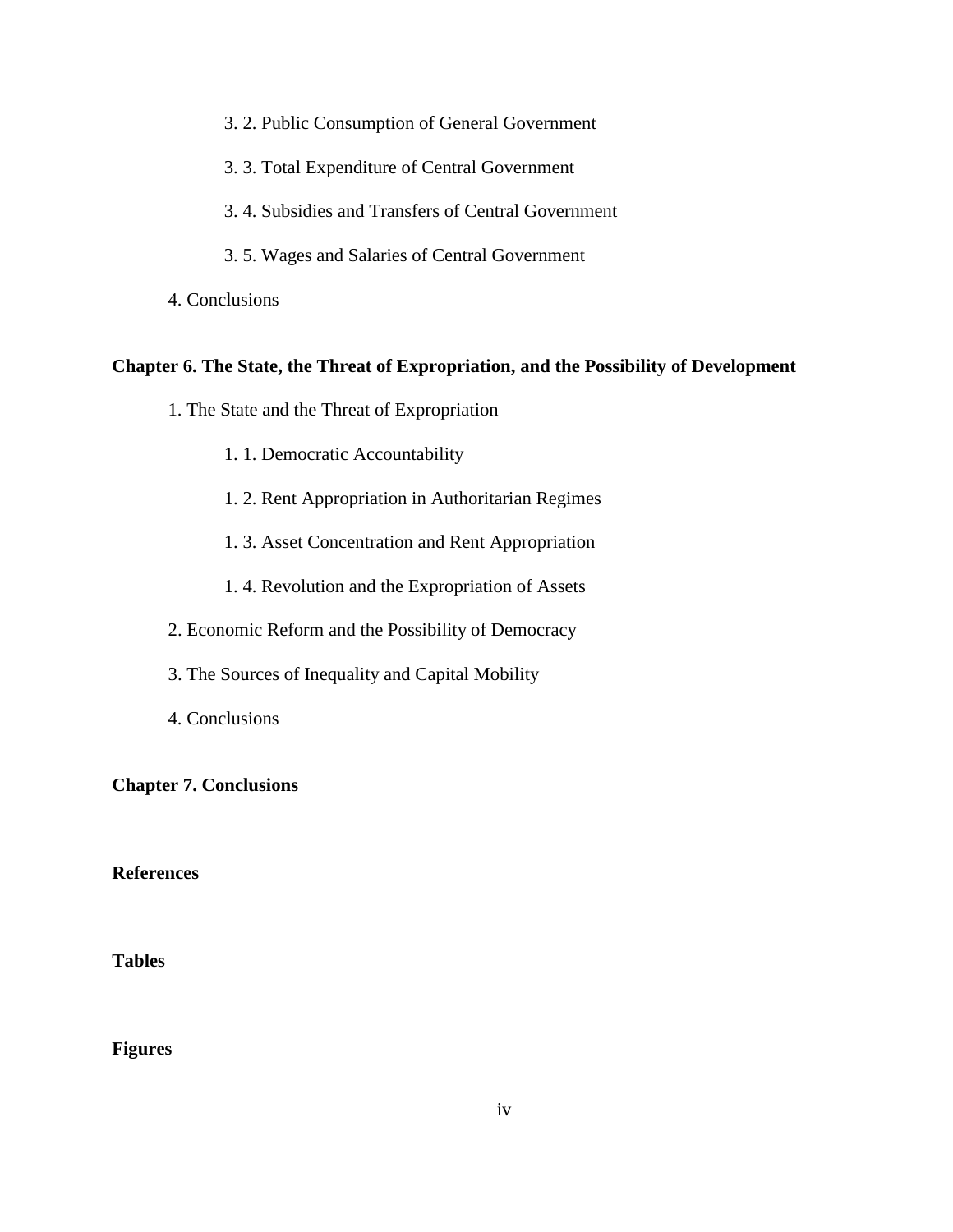- 3. 2. Public Consumption of General Government
- 3. 3. Total Expenditure of Central Government
- 3. 4. Subsidies and Transfers of Central Government
- 3. 5. Wages and Salaries of Central Government
- 4. Conclusions

#### **Chapter 6. The State, the Threat of Expropriation, and the Possibility of Development**

- 1. The State and the Threat of Expropriation
	- 1. 1. Democratic Accountability
	- 1. 2. Rent Appropriation in Authoritarian Regimes
	- 1. 3. Asset Concentration and Rent Appropriation
	- 1. 4. Revolution and the Expropriation of Assets
- 2. Economic Reform and the Possibility of Democracy
- 3. The Sources of Inequality and Capital Mobility
- 4. Conclusions

**Chapter 7. Conclusions**

**References**

**Tables**

**Figures**